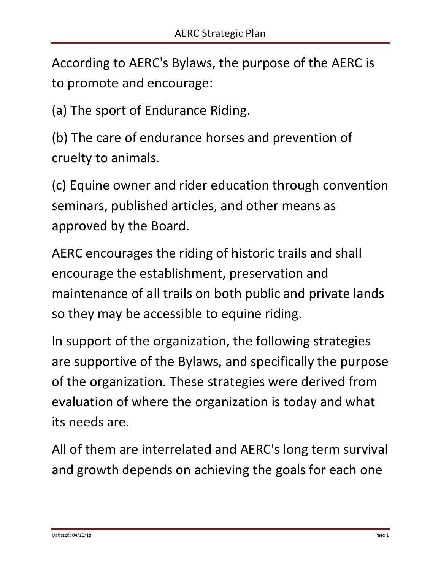According to AERC's Bylaws, the purpose of the AERC is to promote and encourage:

(a) The sport of Endurance Riding.

(b) The care of endurance horses and prevention of cruelty to animals.

(c) Equine owner and rider education through convention seminars, published articles, and other means as approved by the Board.

AERC encourages the riding of historic trails and shall encourage the establishment, preservation and maintenance of all trails on both public and private lands so they may be accessible to equine riding.

In support of the organization, the following strategies are supportive of the Bylaws, and specifically the purpose of the organization. These strategies were derived from evaluation of where the organization is today and what its needs are.

All of them are interrelated and AERC's long term survival and growth depends on achieving the goals for each one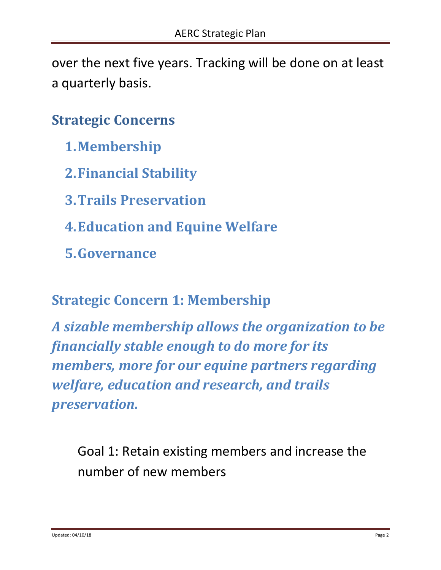over the next five years. Tracking will be done on at least a quarterly basis.

## **Strategic Concerns**

- **1.Membership**
- **2.Financial Stability**
- **3.Trails Preservation**
- **4.Education and Equine Welfare**
- **5.Governance**

#### **Strategic Concern 1: Membership**

*A sizable membership allows the organization to be financially stable enough to do more for its members, more for our equine partners regarding welfare, education and research, and trails preservation.*

Goal 1: Retain existing members and increase the number of new members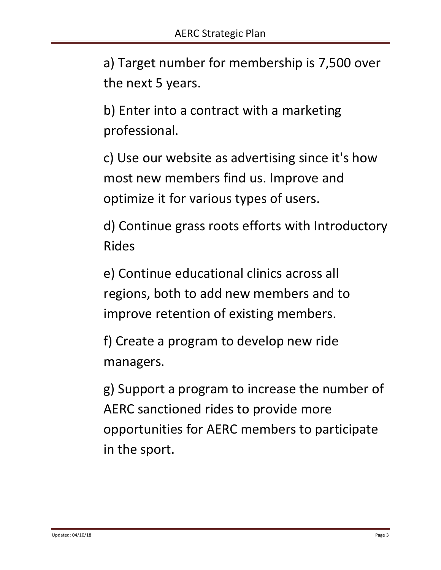a) Target number for membership is 7,500 over the next 5 years.

b) Enter into a contract with a marketing professional.

c) Use our website as advertising since it's how most new members find us. Improve and optimize it for various types of users.

d) Continue grass roots efforts with Introductory Rides

e) Continue educational clinics across all regions, both to add new members and to improve retention of existing members.

f) Create a program to develop new ride managers.

g) Support a program to increase the number of AERC sanctioned rides to provide more opportunities for AERC members to participate in the sport.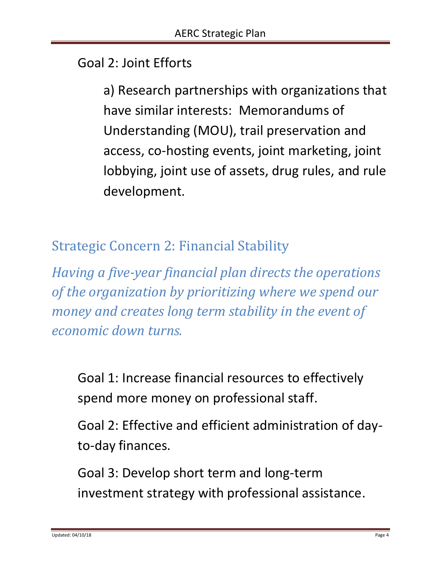### Goal 2: Joint Efforts

a) Research partnerships with organizations that have similar interests: Memorandums of Understanding (MOU), trail preservation and access, co-hosting events, joint marketing, joint lobbying, joint use of assets, drug rules, and rule development.

Strategic Concern 2: Financial Stability

*Having a five-year financial plan directs the operations of the organization by prioritizing where we spend our money and creates long term stability in the event of economic down turns.*

Goal 1: Increase financial resources to effectively spend more money on professional staff.

Goal 2: Effective and efficient administration of dayto-day finances.

Goal 3: Develop short term and long-term investment strategy with professional assistance.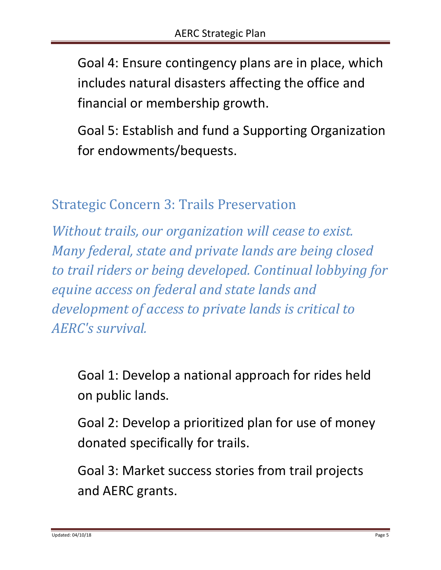Goal 4: Ensure contingency plans are in place, which includes natural disasters affecting the office and financial or membership growth.

Goal 5: Establish and fund a Supporting Organization for endowments/bequests.

Strategic Concern 3: Trails Preservation

*Without trails, our organization will cease to exist. Many federal, state and private lands are being closed to trail riders or being developed. Continual lobbying for equine access on federal and state lands and development of access to private lands is critical to AERC's survival.*

Goal 1: Develop a national approach for rides held on public lands.

Goal 2: Develop a prioritized plan for use of money donated specifically for trails.

Goal 3: Market success stories from trail projects and AERC grants.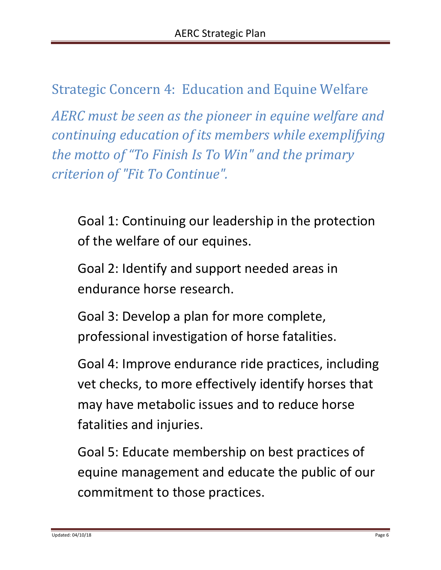# Strategic Concern 4: Education and Equine Welfare

*AERC must be seen as the pioneer in equine welfare and continuing education of its members while exemplifying the motto of "To Finish Is To Win" and the primary criterion of "Fit To Continue".*

Goal 1: Continuing our leadership in the protection of the welfare of our equines.

Goal 2: Identify and support needed areas in endurance horse research.

Goal 3: Develop a plan for more complete, professional investigation of horse fatalities.

Goal 4: Improve endurance ride practices, including vet checks, to more effectively identify horses that may have metabolic issues and to reduce horse fatalities and injuries.

Goal 5: Educate membership on best practices of equine management and educate the public of our commitment to those practices.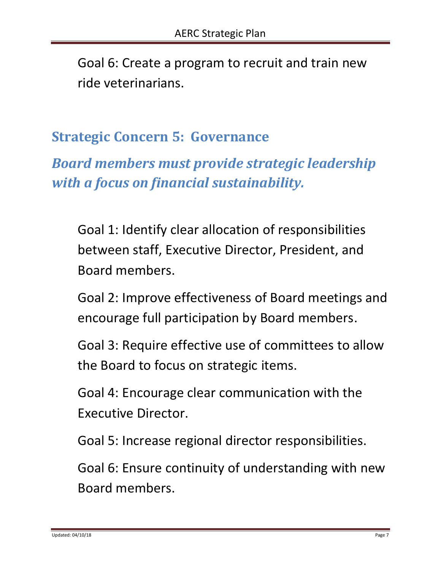Goal 6: Create a program to recruit and train new ride veterinarians.

### **Strategic Concern 5: Governance**

*Board members must provide strategic leadership with a focus on financial sustainability.*

Goal 1: Identify clear allocation of responsibilities between staff, Executive Director, President, and Board members.

Goal 2: Improve effectiveness of Board meetings and encourage full participation by Board members.

Goal 3: Require effective use of committees to allow the Board to focus on strategic items.

Goal 4: Encourage clear communication with the Executive Director.

Goal 5: Increase regional director responsibilities.

Goal 6: Ensure continuity of understanding with new Board members.